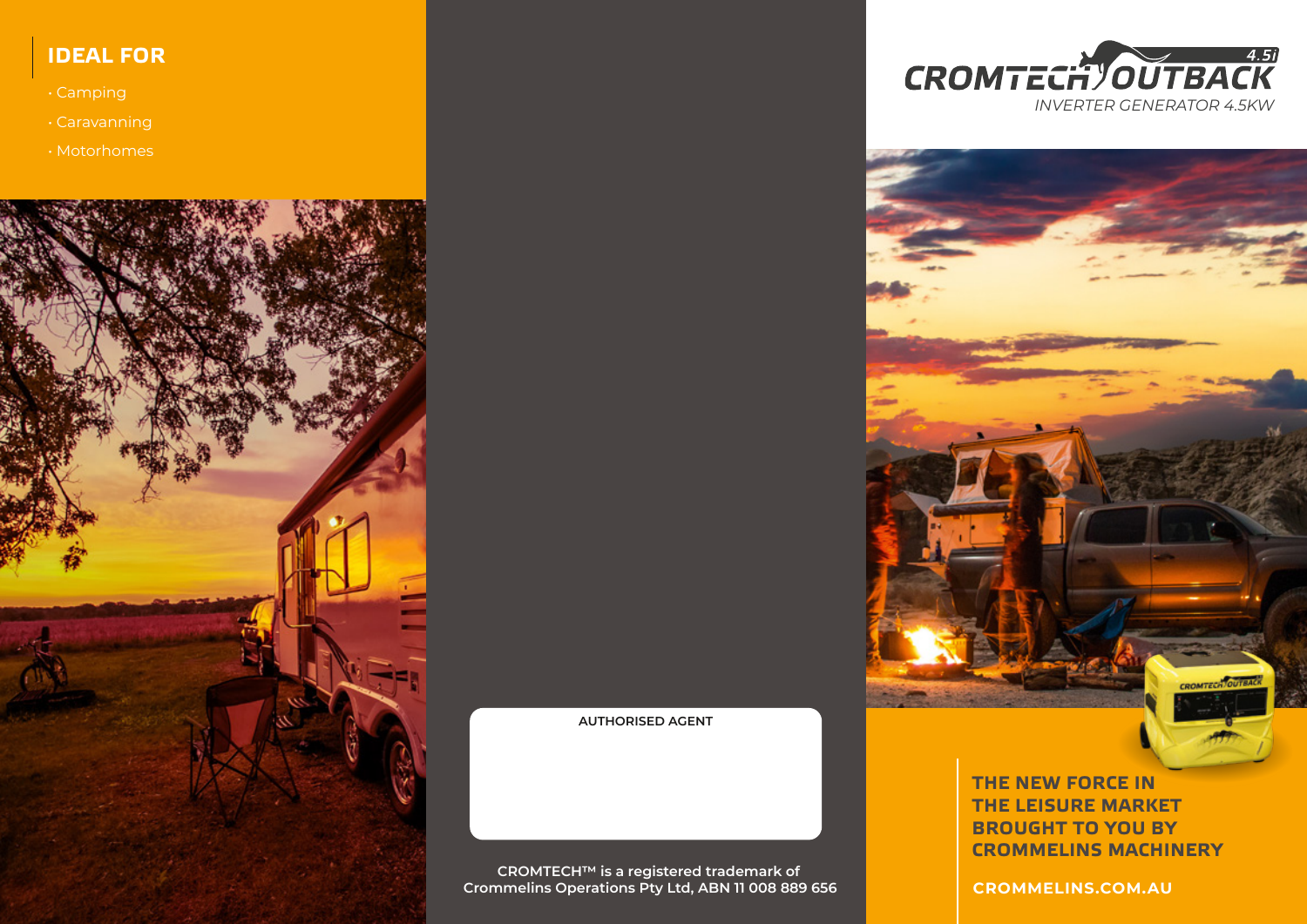## **IDEAL FOR**

• Camping

• Motorhomes







**THE NEW FORCE IN THE LEISURE MARKET BROUGHT TO YOU BY CROMMELINS MACHINERY**

**CROMMELINS.COM.AU**

**CROMTECH™ is a registered trademark of Crommelins Operations Pty Ltd, ABN 11 008 889 656**

**AUTHORISED AGENT**